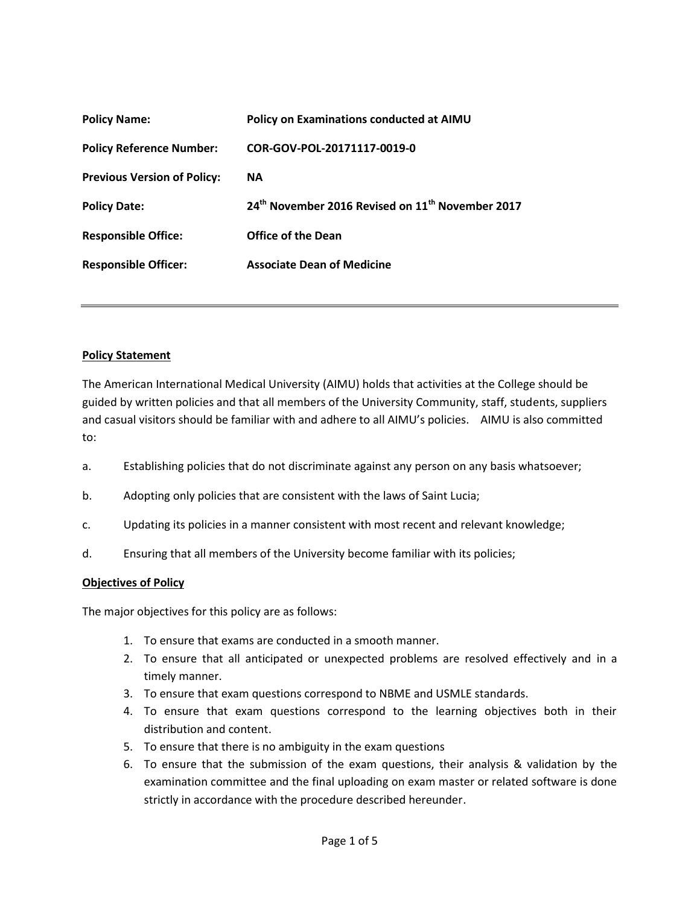| Policy on Examinations conducted at AIMU                                 |
|--------------------------------------------------------------------------|
| COR-GOV-POL-20171117-0019-0                                              |
| <b>NA</b>                                                                |
| 24 <sup>th</sup> November 2016 Revised on 11 <sup>th</sup> November 2017 |
| <b>Office of the Dean</b>                                                |
| <b>Associate Dean of Medicine</b>                                        |
|                                                                          |

## **Policy Statement**

The American International Medical University (AIMU) holds that activities at the College should be guided by written policies and that all members of the University Community, staff, students, suppliers and casual visitors should be familiar with and adhere to all AIMU's policies. AIMU is also committed to:

- a. Establishing policies that do not discriminate against any person on any basis whatsoever;
- b. Adopting only policies that are consistent with the laws of Saint Lucia;
- c. Updating its policies in a manner consistent with most recent and relevant knowledge;
- d. Ensuring that all members of the University become familiar with its policies;

## **Objectives of Policy**

The major objectives for this policy are as follows:

- 1. To ensure that exams are conducted in a smooth manner.
- 2. To ensure that all anticipated or unexpected problems are resolved effectively and in a timely manner.
- 3. To ensure that exam questions correspond to NBME and USMLE standards.
- 4. To ensure that exam questions correspond to the learning objectives both in their distribution and content.
- 5. To ensure that there is no ambiguity in the exam questions
- 6. To ensure that the submission of the exam questions, their analysis & validation by the examination committee and the final uploading on exam master or related software is done strictly in accordance with the procedure described hereunder.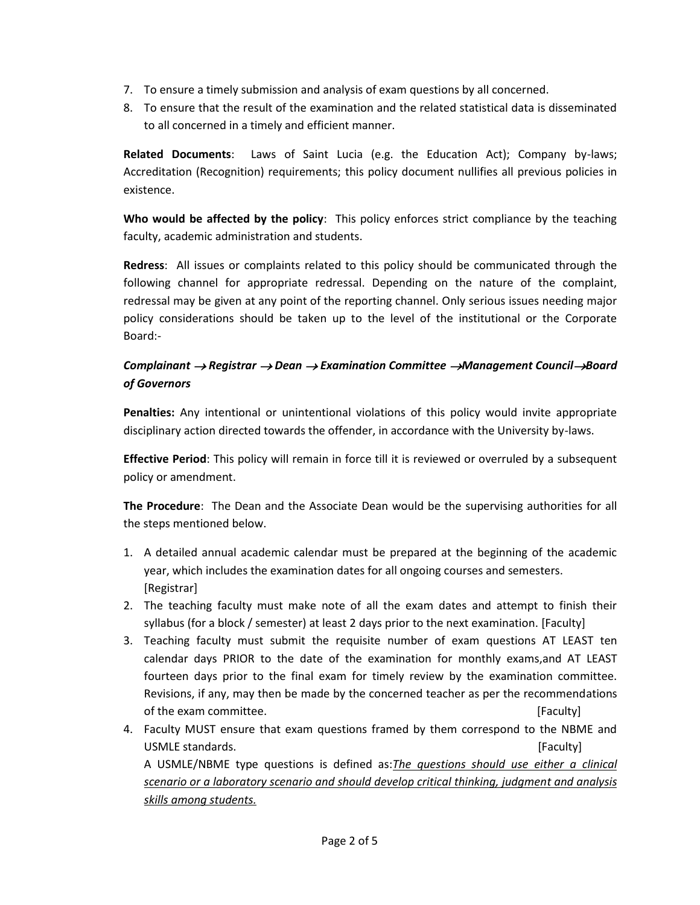- 7. To ensure a timely submission and analysis of exam questions by all concerned.
- 8. To ensure that the result of the examination and the related statistical data is disseminated to all concerned in a timely and efficient manner.

**Related Documents**: Laws of Saint Lucia (e.g. the Education Act); Company by-laws; Accreditation (Recognition) requirements; this policy document nullifies all previous policies in existence.

**Who would be affected by the policy**: This policy enforces strict compliance by the teaching faculty, academic administration and students.

**Redress**: All issues or complaints related to this policy should be communicated through the following channel for appropriate redressal. Depending on the nature of the complaint, redressal may be given at any point of the reporting channel. Only serious issues needing major policy considerations should be taken up to the level of the institutional or the Corporate Board:-

## *Complainant Registrar Dean Examination Committee Management CouncilBoard of Governors*

**Penalties:** Any intentional or unintentional violations of this policy would invite appropriate disciplinary action directed towards the offender, in accordance with the University by-laws.

**Effective Period**: This policy will remain in force till it is reviewed or overruled by a subsequent policy or amendment.

**The Procedure**: The Dean and the Associate Dean would be the supervising authorities for all the steps mentioned below.

- 1. A detailed annual academic calendar must be prepared at the beginning of the academic year, which includes the examination dates for all ongoing courses and semesters. [Registrar]
- 2. The teaching faculty must make note of all the exam dates and attempt to finish their syllabus (for a block / semester) at least 2 days prior to the next examination. [Faculty]
- 3. Teaching faculty must submit the requisite number of exam questions AT LEAST ten calendar days PRIOR to the date of the examination for monthly exams,and AT LEAST fourteen days prior to the final exam for timely review by the examination committee. Revisions, if any, may then be made by the concerned teacher as per the recommendations of the exam committee.  $\blacksquare$
- 4. Faculty MUST ensure that exam questions framed by them correspond to the NBME and USMLE standards. The contract of the contract of the contract of the contract of the contract of the contract of the contract of the contract of the contract of the contract of the contract of the contract of the contract

A USMLE/NBME type questions is defined as:*The questions should use either a clinical scenario or a laboratory scenario and should develop critical thinking, judgment and analysis skills among students.*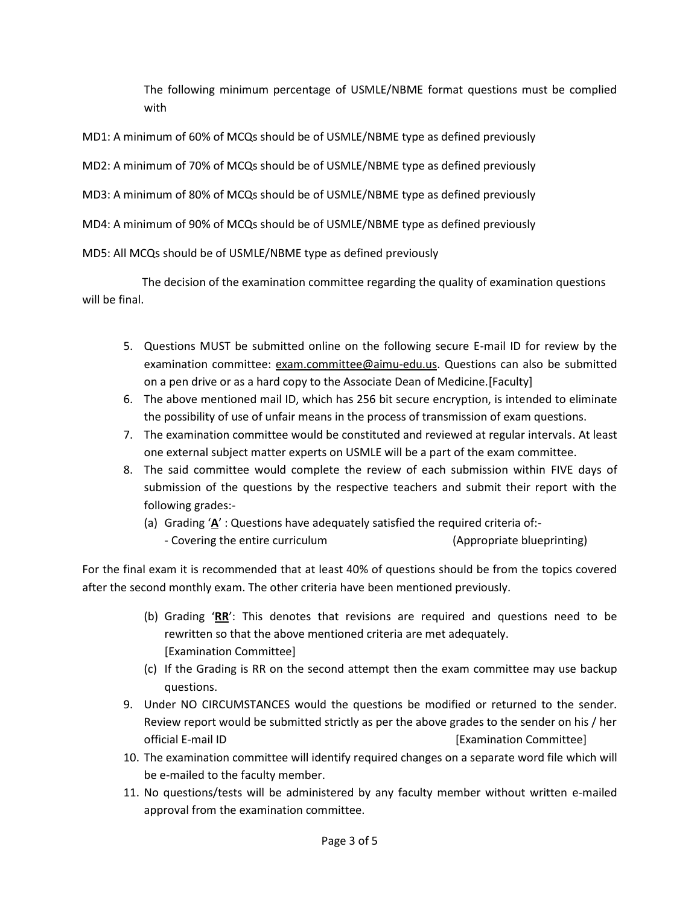The following minimum percentage of USMLE/NBME format questions must be complied with

MD1: A minimum of 60% of MCQs should be of USMLE/NBME type as defined previously

MD2: A minimum of 70% of MCQs should be of USMLE/NBME type as defined previously

MD3: A minimum of 80% of MCQs should be of USMLE/NBME type as defined previously

MD4: A minimum of 90% of MCQs should be of USMLE/NBME type as defined previously

MD5: All MCQs should be of USMLE/NBME type as defined previously

The decision of the examination committee regarding the quality of examination questions will be final.

- 5. Questions MUST be submitted online on the following secure E-mail ID for review by the examination committee: exam.committee@aimu-edu.us. Questions can also be submitted on a pen drive or as a hard copy to the Associate Dean of Medicine.[Faculty]
- 6. The above mentioned mail ID, which has 256 bit secure encryption, is intended to eliminate the possibility of use of unfair means in the process of transmission of exam questions.
- 7. The examination committee would be constituted and reviewed at regular intervals. At least one external subject matter experts on USMLE will be a part of the exam committee.
- 8. The said committee would complete the review of each submission within FIVE days of submission of the questions by the respective teachers and submit their report with the following grades:-
	- (a) Grading '**A**' : Questions have adequately satisfied the required criteria of:-
		- Covering the entire curriculum (Appropriate blueprinting)

For the final exam it is recommended that at least 40% of questions should be from the topics covered after the second monthly exam. The other criteria have been mentioned previously.

- (b) Grading '**RR**': This denotes that revisions are required and questions need to be rewritten so that the above mentioned criteria are met adequately. [Examination Committee]
- (c) If the Grading is RR on the second attempt then the exam committee may use backup questions.
- 9. Under NO CIRCUMSTANCES would the questions be modified or returned to the sender. Review report would be submitted strictly as per the above grades to the sender on his / her official E-mail ID [Examination Committee]
- 10. The examination committee will identify required changes on a separate word file which will be e-mailed to the faculty member.
- 11. No questions/tests will be administered by any faculty member without written e-mailed approval from the examination committee.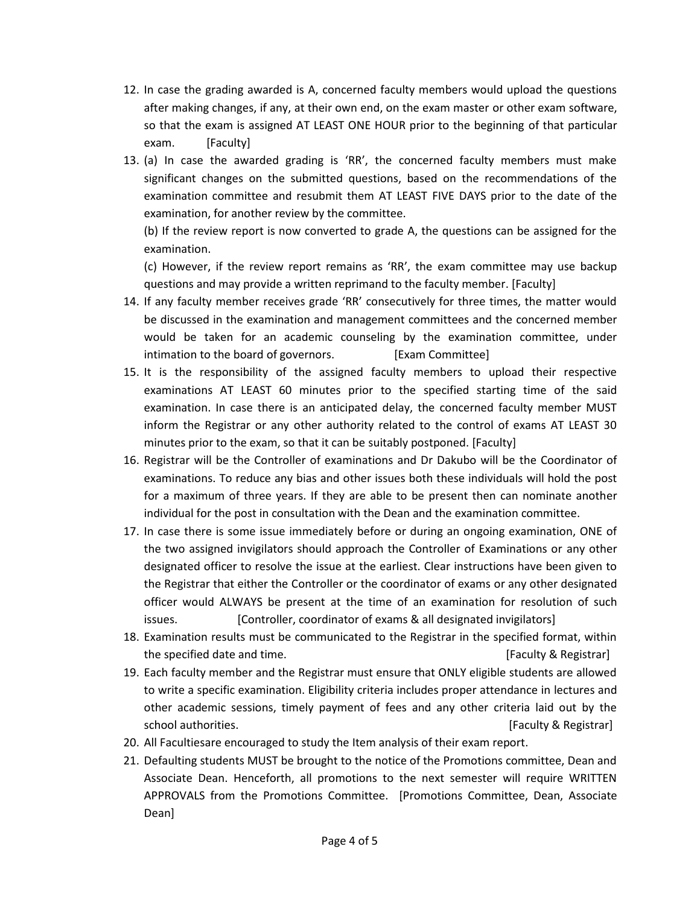- 12. In case the grading awarded is A, concerned faculty members would upload the questions after making changes, if any, at their own end, on the exam master or other exam software, so that the exam is assigned AT LEAST ONE HOUR prior to the beginning of that particular exam. [Faculty]
- 13. (a) In case the awarded grading is 'RR', the concerned faculty members must make significant changes on the submitted questions, based on the recommendations of the examination committee and resubmit them AT LEAST FIVE DAYS prior to the date of the examination, for another review by the committee.

(b) If the review report is now converted to grade A, the questions can be assigned for the examination.

(c) However, if the review report remains as 'RR', the exam committee may use backup questions and may provide a written reprimand to the faculty member. [Faculty]

- 14. If any faculty member receives grade 'RR' consecutively for three times, the matter would be discussed in the examination and management committees and the concerned member would be taken for an academic counseling by the examination committee, under intimation to the board of governors. [Exam Committee]
- 15. It is the responsibility of the assigned faculty members to upload their respective examinations AT LEAST 60 minutes prior to the specified starting time of the said examination. In case there is an anticipated delay, the concerned faculty member MUST inform the Registrar or any other authority related to the control of exams AT LEAST 30 minutes prior to the exam, so that it can be suitably postponed. [Faculty]
- 16. Registrar will be the Controller of examinations and Dr Dakubo will be the Coordinator of examinations. To reduce any bias and other issues both these individuals will hold the post for a maximum of three years. If they are able to be present then can nominate another individual for the post in consultation with the Dean and the examination committee.
- 17. In case there is some issue immediately before or during an ongoing examination, ONE of the two assigned invigilators should approach the Controller of Examinations or any other designated officer to resolve the issue at the earliest. Clear instructions have been given to the Registrar that either the Controller or the coordinator of exams or any other designated officer would ALWAYS be present at the time of an examination for resolution of such issues. [Controller, coordinator of exams & all designated invigilators]
- 18. Examination results must be communicated to the Registrar in the specified format, within the specified date and time. **Example 20** is a set of the specified date and time.
- 19. Each faculty member and the Registrar must ensure that ONLY eligible students are allowed to write a specific examination. Eligibility criteria includes proper attendance in lectures and other academic sessions, timely payment of fees and any other criteria laid out by the school authorities. [Faculty & Registrar]
- 20. All Facultiesare encouraged to study the Item analysis of their exam report.
- 21. Defaulting students MUST be brought to the notice of the Promotions committee, Dean and Associate Dean. Henceforth, all promotions to the next semester will require WRITTEN APPROVALS from the Promotions Committee. [Promotions Committee, Dean, Associate Dean]